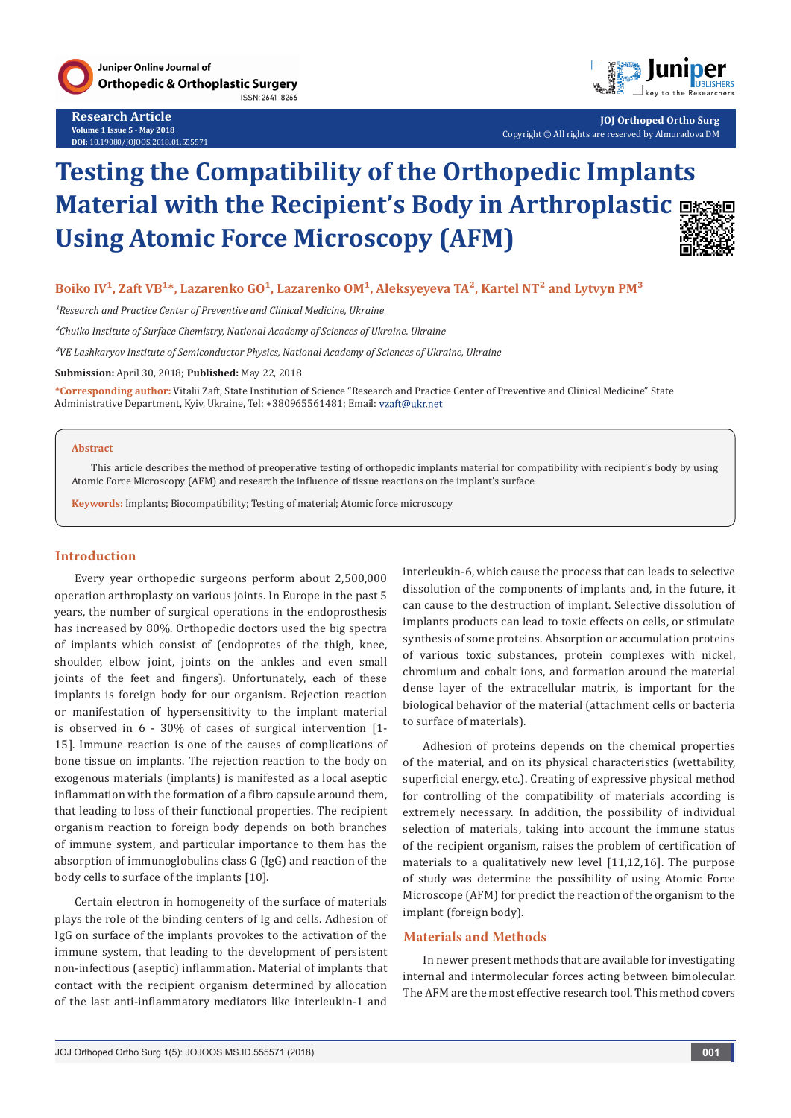



**JOJ Orthoped Ortho Surg** Copyright © All rights are reserved by Almuradova DM

# **Testing the Compatibility of the Orthopedic Implants Material with the Recipient's Body in Arthroplastic Using Atomic Force Microscopy (AFM)**



## Boiko IV<sup>1</sup>, Zaft VB<sup>1\*</sup>, Lazarenko GO<sup>1</sup>, Lazarenko OM<sup>1</sup>, Aleksyeyeva TA<sup>2</sup>, Kartel NT<sup>2</sup> and Lytvyn PM<sup>3</sup>

<sup>1</sup> Research and Practice Center of Preventive and Clinical Medicine, Ukraine

*²Chuiko Institute of Surface Chemistry, National Academy of Sciences of Ukraine, Ukraine*

*³VE Lashkaryov Institute of Semiconductor Physics, National Academy of Sciences of Ukraine, Ukraine*

**Submission:** April 30, 2018; **Published:** May 22, 2018

**\*Corresponding author:** Vitalii Zaft, State Institution of Science "Research and Practice Center of Preventive and Clinical Medicine" State Administrative Department, Kyiv, Ukraine, Tel: +380965561481; Email:

#### **Abstract**

This article describes the method of preoperative testing of orthopedic implants material for compatibility with recipient's body by using Atomic Force Microscopy (AFM) and research the influence of tissue reactions on the implant's surface.

**Keywords:** Implants; Biocompatibility; Testing of material; Atomic force microscopy

#### **Introduction**

Every year orthopedic surgeons perform about 2,500,000 operation arthroplasty on various joints. In Europe in the past 5 years, the number of surgical operations in the endoprosthesis has increased by 80%. Orthopedic doctors used the big spectra of implants which consist of (endoprotes of the thigh, knee, shoulder, elbow joint, joints on the ankles and even small joints of the feet and fingers). Unfortunately, each of these implants is foreign body for our organism. Rejection reaction or manifestation of hypersensitivity to the implant material is observed in 6 - 30% of cases of surgical intervention [1- 15]. Immune reaction is one of the causes of complications of bone tissue on implants. The rejection reaction to the body on exogenous materials (implants) is manifested as a local aseptic inflammation with the formation of a fibro capsule around them, that leading to loss of their functional properties. The recipient organism reaction to foreign body depends on both branches of immune system, and particular importance to them has the absorption of immunoglobulins class G (IgG) and reaction of the body cells to surface of the implants [10].

Certain electron in homogeneity of the surface of materials plays the role of the binding centers of Ig and cells. Adhesion of IgG on surface of the implants provokes to the activation of the immune system, that leading to the development of persistent non-infectious (aseptic) inflammation. Material of implants that contact with the recipient organism determined by allocation of the last anti-inflammatory mediators like interleukin-1 and

interleukin-6, which cause the process that can leads to selective dissolution of the components of implants and, in the future, it can cause to the destruction of implant. Selective dissolution of implants products can lead to toxic effects on cells, or stimulate synthesis of some proteins. Absorption or accumulation proteins of various toxic substances, protein complexes with nickel, chromium and cobalt ions, and formation around the material dense layer of the extracellular matrix, is important for the biological behavior of the material (attachment cells or bacteria to surface of materials).

Adhesion of proteins depends on the chemical properties of the material, and on its physical characteristics (wettability, superficial energy, etc.). Creating of expressive physical method for controlling of the compatibility of materials according is extremely necessary. In addition, the possibility of individual selection of materials, taking into account the immune status of the recipient organism, raises the problem of certification of materials to a qualitatively new level [11,12,16]. The purpose of study was determine the possibility of using Atomic Force Microscope (AFM) for predict the reaction of the organism to the implant (foreign body).

## **Materials and Methods**

In newer present methods that are available for investigating internal and intermolecular forces acting between bimolecular. The AFM are the most effective research tool. This method covers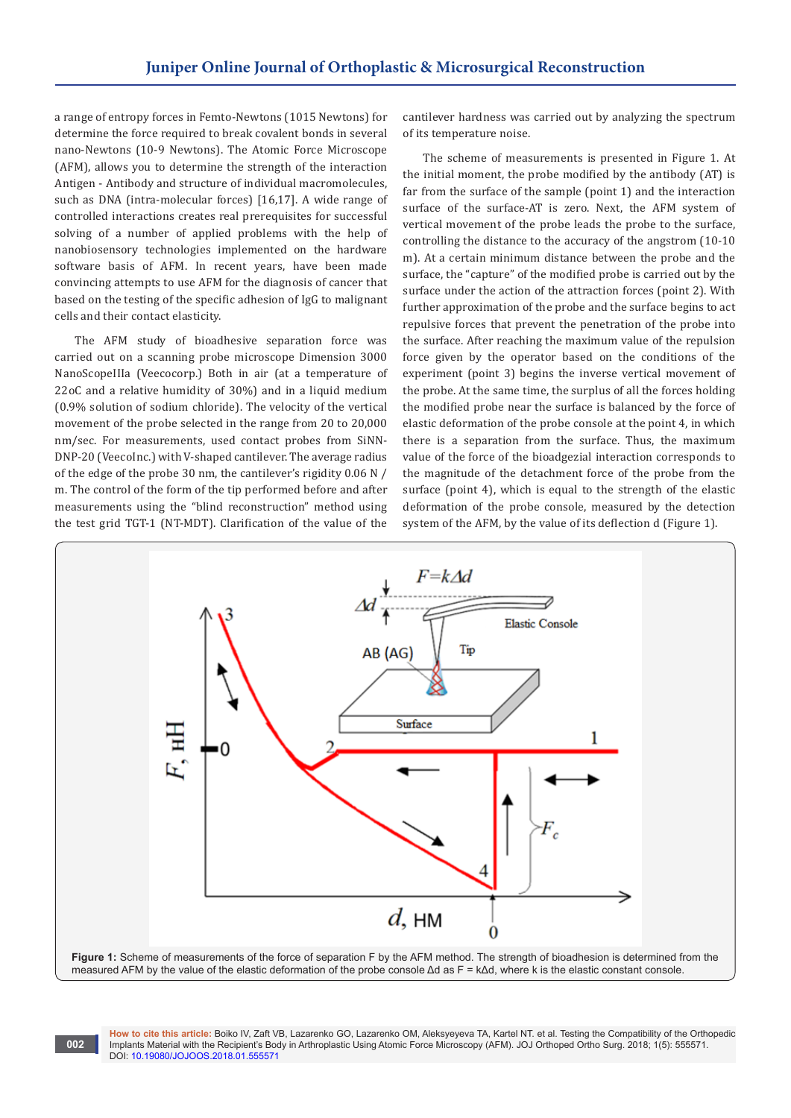a range of entropy forces in Femto-Newtons (1015 Newtons) for determine the force required to break covalent bonds in several nano-Newtons (10-9 Newtons). The Atomic Force Microscope (AFM), allows you to determine the strength of the interaction Antigen - Antibody and structure of individual macromolecules, such as DNA (intra-molecular forces) [16,17]. A wide range of controlled interactions creates real prerequisites for successful solving of a number of applied problems with the help of nanobiosensory technologies implemented on the hardware software basis of AFM. In recent years, have been made convincing attempts to use AFM for the diagnosis of cancer that based on the testing of the specific adhesion of IgG to malignant cells and their contact elasticity.

The AFM study of bioadhesive separation force was carried out on a scanning probe microscope Dimension 3000 NanoScopeIIIa (Veecocorp.) Both in air (at a temperature of 22oС and a relative humidity of 30%) and in a liquid medium (0.9% solution of sodium chloride). The velocity of the vertical movement of the probe selected in the range from 20 to 20,000 nm/sec. For measurements, used contact probes from SiNN-DNP-20 (VeecoInc.) with V-shaped cantilever. The average radius of the edge of the probe 30 nm, the cantilever's rigidity 0.06 N / m. The control of the form of the tip performed before and after measurements using the "blind reconstruction" method using the test grid TGT-1 (NT-MDT). Clarification of the value of the

cantilever hardness was carried out by analyzing the spectrum of its temperature noise.

The scheme of measurements is presented in Figure 1. At the initial moment, the probe modified by the antibody (AT) is far from the surface of the sample (point 1) and the interaction surface of the surface-AT is zero. Next, the AFM system of vertical movement of the probe leads the probe to the surface, controlling the distance to the accuracy of the angstrom (10-10 m). At a certain minimum distance between the probe and the surface, the "capture" of the modified probe is carried out by the surface under the action of the attraction forces (point 2). With further approximation of the probe and the surface begins to act repulsive forces that prevent the penetration of the probe into the surface. After reaching the maximum value of the repulsion force given by the operator based on the conditions of the experiment (point 3) begins the inverse vertical movement of the probe. At the same time, the surplus of all the forces holding the modified probe near the surface is balanced by the force of elastic deformation of the probe console at the point 4, in which there is a separation from the surface. Thus, the maximum value of the force of the bioadgezial interaction corresponds to the magnitude of the detachment force of the probe from the surface (point 4), which is equal to the strength of the elastic deformation of the probe console, measured by the detection system of the AFM, by the value of its deflection d (Figure 1).





**How to cite this article:** Boiko IV, Zaft VB, Lazarenko GO, Lazarenko OM, Aleksyeyeva TA, Kartel NT. et al. Testing the Compatibility of the Orthopedic Implants Material with the Recipient's Body in Arthroplastic Using Atomic Force Microscopy (AFM). JOJ Orthoped Ortho Surg. 2018; 1(5): 555571. DOI: [10.19080/JOJOOS.2018.01.555571](http://dx.doi.org/10.19080/JOJOOS.2018.01.555571
)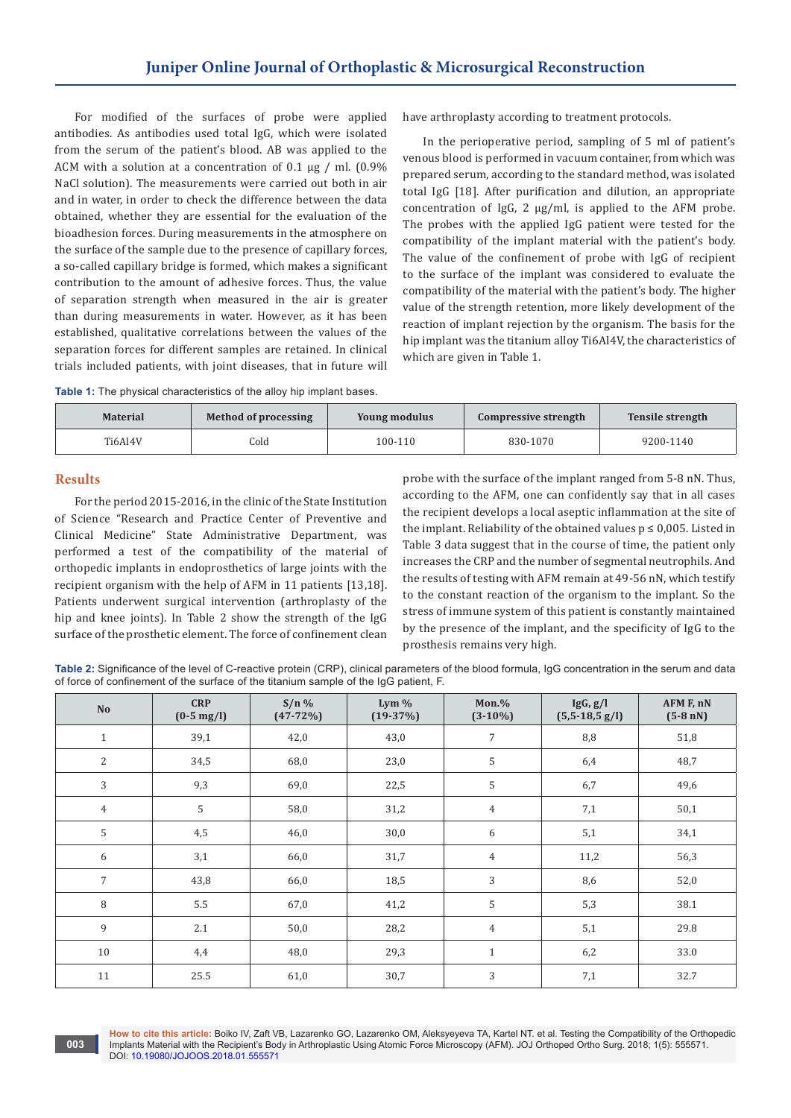For modified of the surfaces of probe were applied antibodies. As antibodies used total IgG, which were isolated from the serum of the patient's blood. AB was applied to the ACM with a solution at a concentration of 0.1 μg / ml. (0.9% NaCl solution). The measurements were carried out both in air and in water, in order to check the difference between the data obtained, whether they are essential for the evaluation of the bioadhesion forces. During measurements in the atmosphere on the surface of the sample due to the presence of capillary forces, a so-called capillary bridge is formed, which makes a significant contribution to the amount of adhesive forces. Thus, the value of separation strength when measured in the air is greater than during measurements in water. However, as it has been established, qualitative correlations between the values of the separation forces for different samples are retained. In clinical trials included patients, with joint diseases, that in future will

have arthroplasty according to treatment protocols.

In the perioperative period, sampling of 5 ml of patient's venous blood is performed in vacuum container, from which was prepared serum, according to the standard method, was isolated total IgG [18]. After purification and dilution, an appropriate concentration of IgG, 2 μg/ml, is applied to the AFM probe. The probes with the applied IgG patient were tested for the compatibility of the implant material with the patient's body. The value of the confinement of probe with IgG of recipient to the surface of the implant was considered to evaluate the compatibility of the material with the patient's body. The higher value of the strength retention, more likely development of the reaction of implant rejection by the organism. The basis for the hip implant was the titanium alloy Ti6Al4V, the characteristics of which are given in Table 1.

**Table 1:** The physical characteristics of the alloy hip implant bases.

| <b>Material</b> | Method of processing | <b>Young modulus</b> | Compressive strength | <b>Tensile strength</b> |
|-----------------|----------------------|----------------------|----------------------|-------------------------|
| Ti6Al4V         | Cold                 | 100-110              | 830-1070             | 9200-1140               |

#### **Results**

For the period 2015-2016, in the clinic of the State Institution of Science "Research and Practice Center of Preventive and Clinical Medicine" State Administrative Department, was performed a test of the compatibility of the material of orthopedic implants in endoprosthetics of large joints with the recipient organism with the help of AFM in 11 patients [13,18]. Patients underwent surgical intervention (arthroplasty of the hip and knee joints). In Table 2 show the strength of the IgG surface of the prosthetic element. The force of confinement clean

probe with the surface of the implant ranged from 5-8 nN. Thus, according to the AFM, one can confidently say that in all cases the recipient develops a local aseptic inflammation at the site of the implant. Reliability of the obtained values  $p \le 0.005$ . Listed in Table 3 data suggest that in the course of time, the patient only increases the CRP and the number of segmental neutrophils. And the results of testing with AFM remain at 49-56 nN, which testify to the constant reaction of the organism to the implant. So the stress of immune system of this patient is constantly maintained by the presence of the implant, and the specificity of IgG to the prosthesis remains very high.

Table 2: Significance of the level of C-reactive protein (CRP), clinical parameters of the blood formula, IgG concentration in the serum and data of force of confinement of the surface of the titanium sample of the IgG patient, F.

| <b>No</b>      | <b>CRP</b><br>$(0-5 \text{ mg/l})$ | $S/n$ %<br>$(47-72%)$ | Lym $%$<br>$(19-37%)$ | $Mon.$ %<br>$(3-10\%)$ | IgG, g/I<br>$(5,5-18,5 g/l)$ | AFM F, nN<br>$(5-8 nN)$ |
|----------------|------------------------------------|-----------------------|-----------------------|------------------------|------------------------------|-------------------------|
| $\mathbf{1}$   | 39,1                               | 42,0                  | 43,0                  | $\overline{7}$         | 8,8                          | 51,8                    |
| $\overline{c}$ | 34,5                               | 68,0                  | 23,0                  | 5                      | 6,4                          | 48,7                    |
| 3              | 9,3                                | 69,0                  | 22,5                  | 5                      | 6,7                          | 49,6                    |
| $\overline{4}$ | 5                                  | 58,0                  | 31,2                  | $\overline{4}$         | 7,1                          | 50,1                    |
| 5              | 4,5                                | 46,0                  | 30,0                  | 6                      | 5,1                          | 34,1                    |
| 6              | 3,1                                | 66,0                  | 31,7                  | $\overline{4}$         | 11,2                         | 56,3                    |
| $\overline{7}$ | 43,8                               | 66,0                  | 18,5                  | 3                      | 8,6                          | 52,0                    |
| 8              | 5.5                                | 67,0                  | 41,2                  | 5                      | 5,3                          | 38.1                    |
| 9              | 2.1                                | 50,0                  | 28,2                  | $\overline{4}$         | 5,1                          | 29.8                    |
| 10             | 4,4                                | 48,0                  | 29,3                  | $\mathbf{1}$           | 6,2                          | 33.0                    |
| 11             | 25.5                               | 61,0                  | 30,7                  | 3                      | 7,1                          | 32.7                    |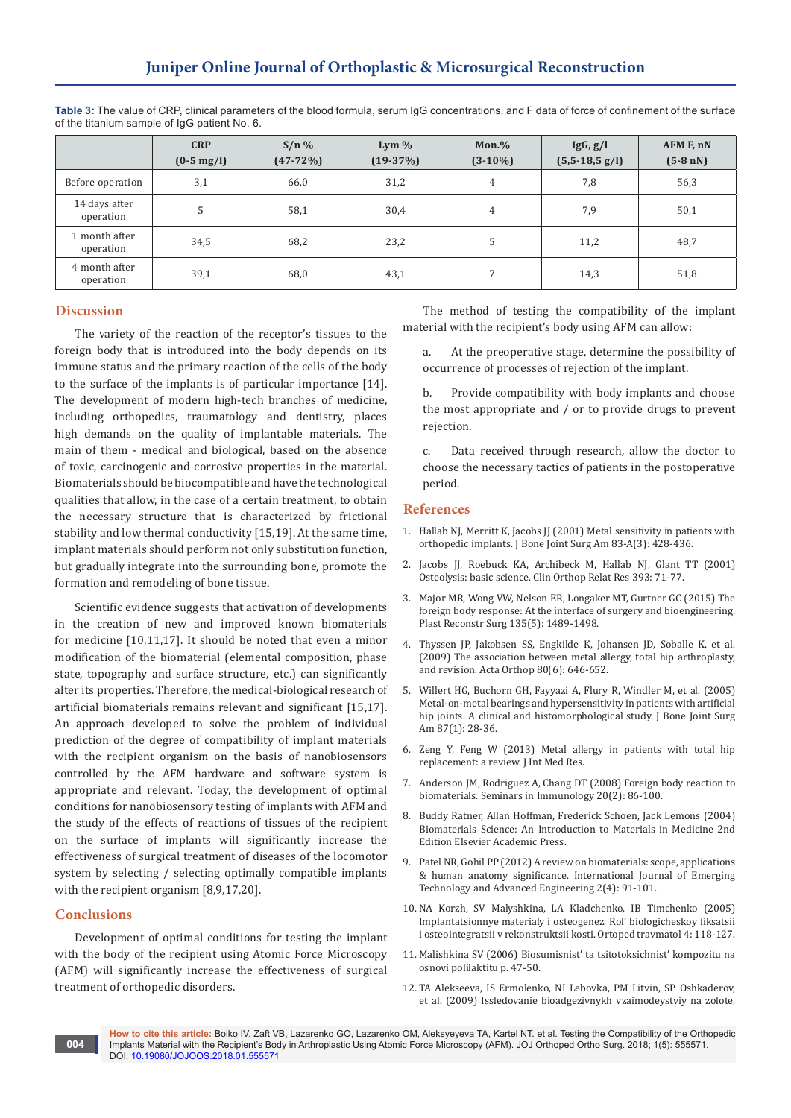|                            | <b>CRP</b><br>$(0-5 \text{ mg/l})$ | $S/n\%$<br>$(47-72%)$ | Lym $%$<br>$(19-37%)$ | $Mon.$ %<br>$(3-10\%)$ | IgG, g/I<br>$(5,5-18,5 \text{ g/l})$ | AFM F, nN<br>$(5-8 \text{ nN})$ |
|----------------------------|------------------------------------|-----------------------|-----------------------|------------------------|--------------------------------------|---------------------------------|
| Before operation           | 3,1                                | 66,0                  | 31,2                  | 4                      | 7,8                                  | 56,3                            |
| 14 days after<br>operation | 5                                  | 58,1                  | 30,4                  | 4                      | 7,9                                  | 50,1                            |
| 1 month after<br>operation | 34,5                               | 68,2                  | 23,2                  | 5                      | 11,2                                 | 48,7                            |
| 4 month after<br>operation | 39,1                               | 68,0                  | 43,1                  | 7                      | 14,3                                 | 51,8                            |

**Table 3:** The value of CRP, clinical parameters of the blood formula, serum IgG concentrations, and F data of force of confinement of the surface of the titanium sample of IgG patient No. 6.

## **Discussion**

The variety of the reaction of the receptor's tissues to the foreign body that is introduced into the body depends on its immune status and the primary reaction of the cells of the body to the surface of the implants is of particular importance [14]. The development of modern high-tech branches of medicine, including orthopedics, traumatology and dentistry, places high demands on the quality of implantable materials. The main of them - medical and biological, based on the absence of toxic, carcinogenic and corrosive properties in the material. Biomaterials should be biocompatible and have the technological qualities that allow, in the case of a certain treatment, to obtain the necessary structure that is characterized by frictional stability and low thermal conductivity [15,19]. At the same time, implant materials should perform not only substitution function, but gradually integrate into the surrounding bone, promote the formation and remodeling of bone tissue.

Scientific evidence suggests that activation of developments in the creation of new and improved known biomaterials for medicine [10,11,17]. It should be noted that even a minor modification of the biomaterial (elemental composition, phase state, topography and surface structure, etc.) can significantly alter its properties. Therefore, the medical-biological research of artificial biomaterials remains relevant and significant [15,17]. An approach developed to solve the problem of individual prediction of the degree of compatibility of implant materials with the recipient organism on the basis of nanobiosensors controlled by the AFM hardware and software system is appropriate and relevant. Today, the development of optimal conditions for nanobiosensory testing of implants with AFM and the study of the effects of reactions of tissues of the recipient on the surface of implants will significantly increase the effectiveness of surgical treatment of diseases of the locomotor system by selecting / selecting optimally compatible implants with the recipient organism [8,9,17,20].

## **Conclusions**

Development of optimal conditions for testing the implant with the body of the recipient using Atomic Force Microscopy (AFM) will significantly increase the effectiveness of surgical treatment of orthopedic disorders.

The method of testing the compatibility of the implant material with the recipient's body using AFM can allow:

a. At the preoperative stage, determine the possibility of occurrence of processes of rejection of the implant.

b. Provide compatibility with body implants and choose the most appropriate and / or to provide drugs to prevent rejection.

c. Data received through research, allow the doctor to choose the necessary tactics of patients in the postoperative period.

### **References**

- 1. [Hallab NJ, Merritt K, Jacobs JJ \(2001\) Metal sensitivity in patients with](https://www.ncbi.nlm.nih.gov/pubmed/11263649)  [orthopedic implants. J Bone Joint Surg Am 83-A\(3\): 428-436.](https://www.ncbi.nlm.nih.gov/pubmed/11263649)
- 2. [Jacobs JJ, Roebuck KA, Archibeck M, Hallab NJ, Glant TT \(2001\)](https://www.ncbi.nlm.nih.gov/pubmed/11764373)  [Osteolysis: basic science. Clin Orthop Relat Res 393: 71-77.](https://www.ncbi.nlm.nih.gov/pubmed/11764373)
- 3. [Major MR, Wong VW, Nelson ER, Longaker MT, Gurtner GC \(2015\) The](https://www.ncbi.nlm.nih.gov/pubmed/25919260)  [foreign body response: At the interface of surgery and bioengineering.](https://www.ncbi.nlm.nih.gov/pubmed/25919260)  [Plast Reconstr Surg 135\(5\): 1489-1498.](https://www.ncbi.nlm.nih.gov/pubmed/25919260)
- 4. [Thyssen JP, Jakobsen SS, Engkilde K, Johansen JD, Soballe K, et al.](https://www.ncbi.nlm.nih.gov/pmc/articles/PMC2823320/)  [\(2009\) The association between metal allergy, total hip arthroplasty,](https://www.ncbi.nlm.nih.gov/pmc/articles/PMC2823320/)  [and revision. Acta Orthop 80\(6\): 646-652.](https://www.ncbi.nlm.nih.gov/pmc/articles/PMC2823320/)
- 5. [Willert HG, Buchorn GH, Fayyazi A, Flury R, Windler M, et al. \(2005\)](https://www.ncbi.nlm.nih.gov/pubmed/15637030)  [Metal-on-metal bearings and hypersensitivity in patients with artificial](https://www.ncbi.nlm.nih.gov/pubmed/15637030)  [hip joints. A clinical and histomorphological study. J Bone Joint Surg](https://www.ncbi.nlm.nih.gov/pubmed/15637030)  [Am 87\(1\): 28-36.](https://www.ncbi.nlm.nih.gov/pubmed/15637030)
- 6. Zeng Y, Feng W (2013) Metal allergy in patients with total hip replacement: a review. J Int Med Res.
- 7. [Anderson JM, Rodriguez A, Chang DT \(2008\) Foreign body reaction to](https://www.ncbi.nlm.nih.gov/pmc/articles/PMC2327202/)  [biomaterials. Seminars in Immunology 20\(2\): 86-100.](https://www.ncbi.nlm.nih.gov/pmc/articles/PMC2327202/)
- 8. Buddy Ratner, [Allan Hoffman, Frederick Schoen,](https://www.elsevier.com/books/biomaterials-science/ratner/978-0-08-047036-8) Jack Lemons (2004) [Biomaterials Science: An Introduction to Materials in Medicine 2nd](https://www.elsevier.com/books/biomaterials-science/ratner/978-0-08-047036-8)  [Edition Elsevier Academic Press.](https://www.elsevier.com/books/biomaterials-science/ratner/978-0-08-047036-8)
- 9. [Patel NR, Gohil PP \(2012\) A review on biomaterials: scope, applications](https://pdfs.semanticscholar.org/b0eb/d5063f7fb368cad35096b89bf6bba9209107.pdf)  [& human anatomy significance. International Journal of Emerging](https://pdfs.semanticscholar.org/b0eb/d5063f7fb368cad35096b89bf6bba9209107.pdf)  [Technology and Advanced Engineering 2\(4\): 91-101.](https://pdfs.semanticscholar.org/b0eb/d5063f7fb368cad35096b89bf6bba9209107.pdf)
- 10. NA Korzh, SV Malyshkina, LA Kladchenko, IB Timchenko (2005) Implantatsionnye materialy i osteogenez. Rol' biologicheskoy fiksatsii i osteointegratsii v rekonstruktsii kosti. Ortoped travmatol 4: 118-127.
- 11. Malishkіna SV (2006) Bіosumіsnіst' ta tsitotoksichnіst' kompozitu na osnovі polіlaktitu p. 47-50.
- 12. TA Alekseeva, IS Ermolenko, NI Lebovka, PM Litvin, SP Oshkaderov, et al. (2009) Issledovanie bioadgezivnykh vzaimodeystviy na zolote,